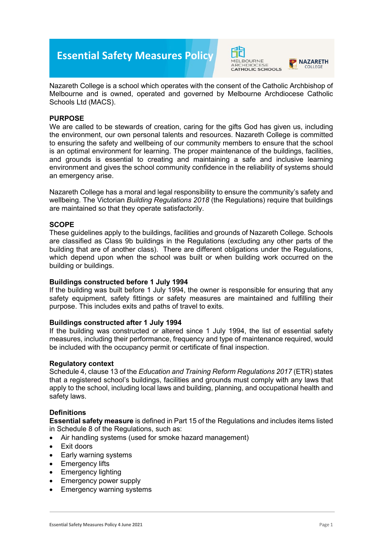# **Essential Safety Measures Policy**





Nazareth College is a school which operates with the consent of the Catholic Archbishop of Melbourne and is owned, operated and governed by Melbourne Archdiocese Catholic Schools Ltd (MACS).

# **PURPOSE**

We are called to be stewards of creation, caring for the gifts God has given us, including the environment, our own personal talents and resources. Nazareth College is committed to ensuring the safety and wellbeing of our community members to ensure that the school is an optimal environment for learning. The proper maintenance of the buildings, facilities, and grounds is essential to creating and maintaining a safe and inclusive learning environment and gives the school community confidence in the reliability of systems should an emergency arise.

Nazareth College has a moral and legal responsibility to ensure the community's safety and wellbeing. The Victorian *Building Regulations 2018* (the Regulations) require that buildings are maintained so that they operate satisfactorily.

## **SCOPE**

These guidelines apply to the buildings, facilities and grounds of Nazareth College. Schools are classified as Class 9b buildings in the Regulations (excluding any other parts of the building that are of another class). There are different obligations under the Regulations, which depend upon when the school was built or when building work occurred on the building or buildings.

#### **Buildings constructed before 1 July 1994**

If the building was built before 1 July 1994, the owner is responsible for ensuring that any safety equipment, safety fittings or safety measures are maintained and fulfilling their purpose. This includes exits and paths of travel to exits.

#### **Buildings constructed after 1 July 1994**

If the building was constructed or altered since 1 July 1994, the list of essential safety measures, including their performance, frequency and type of maintenance required, would be included with the occupancy permit or certificate of final inspection.

#### **Regulatory context**

Schedule 4, clause 13 of the *Education and Training Reform Regulations 2017* (ETR) states that a registered school's buildings, facilities and grounds must comply with any laws that apply to the school, including local laws and building, planning, and occupational health and safety laws.

#### **Definitions**

**Essential safety measure** is defined in Part 15 of the Regulations and includes items listed in Schedule 8 of the Regulations, such as:

- Air handling systems (used for smoke hazard management)
- Exit doors
- Early warning systems
- **Emergency lifts**
- Emergency lighting
- Emergency power supply
- Emergency warning systems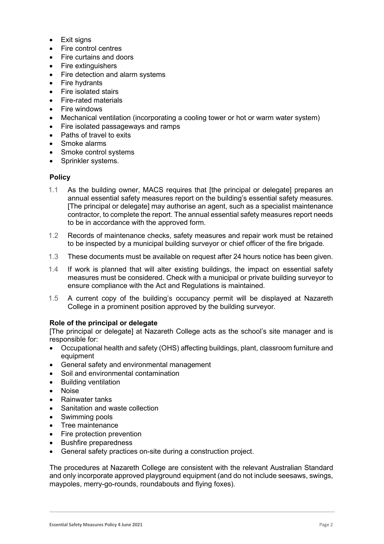- Exit signs
- Fire control centres
- Fire curtains and doors
- Fire extinguishers
- Fire detection and alarm systems
- **Fire hydrants**
- Fire isolated stairs
- Fire-rated materials
- **Fire windows**
- Mechanical ventilation (incorporating a cooling tower or hot or warm water system)
- Fire isolated passageways and ramps
- Paths of travel to exits
- Smoke alarms
- Smoke control systems
- Sprinkler systems.

## **Policy**

- 1.1 As the building owner, MACS requires that [the principal or delegate] prepares an annual essential safety measures report on the building's essential safety measures. [The principal or delegate] may authorise an agent, such as a specialist maintenance contractor, to complete the report. The annual essential safety measures report needs to be in accordance with the approved form.
- 1.2 Records of maintenance checks, safety measures and repair work must be retained to be inspected by a municipal building surveyor or chief officer of the fire brigade.
- 1.3 These documents must be available on request after 24 hours notice has been given.
- 1.4 If work is planned that will alter existing buildings, the impact on essential safety measures must be considered. Check with a municipal or private building surveyor to ensure compliance with the Act and Regulations is maintained.
- 1.5 A current copy of the building's occupancy permit will be displayed at Nazareth College in a prominent position approved by the building surveyor.

#### **Role of the principal or delegate**

[The principal or delegate] at Nazareth College acts as the school's site manager and is responsible for:

- Occupational health and safety (OHS) affecting buildings, plant, classroom furniture and equipment
- General safety and environmental management
- Soil and environmental contamination
- Building ventilation
- Noise
- Rainwater tanks
- Sanitation and waste collection
- Swimming pools
- Tree maintenance
- Fire protection prevention
- Bushfire preparedness
- General safety practices on-site during a construction project.

The procedures at Nazareth College are consistent with the relevant Australian Standard and only incorporate approved playground equipment (and do not include seesaws, swings, maypoles, merry-go-rounds, roundabouts and flying foxes).